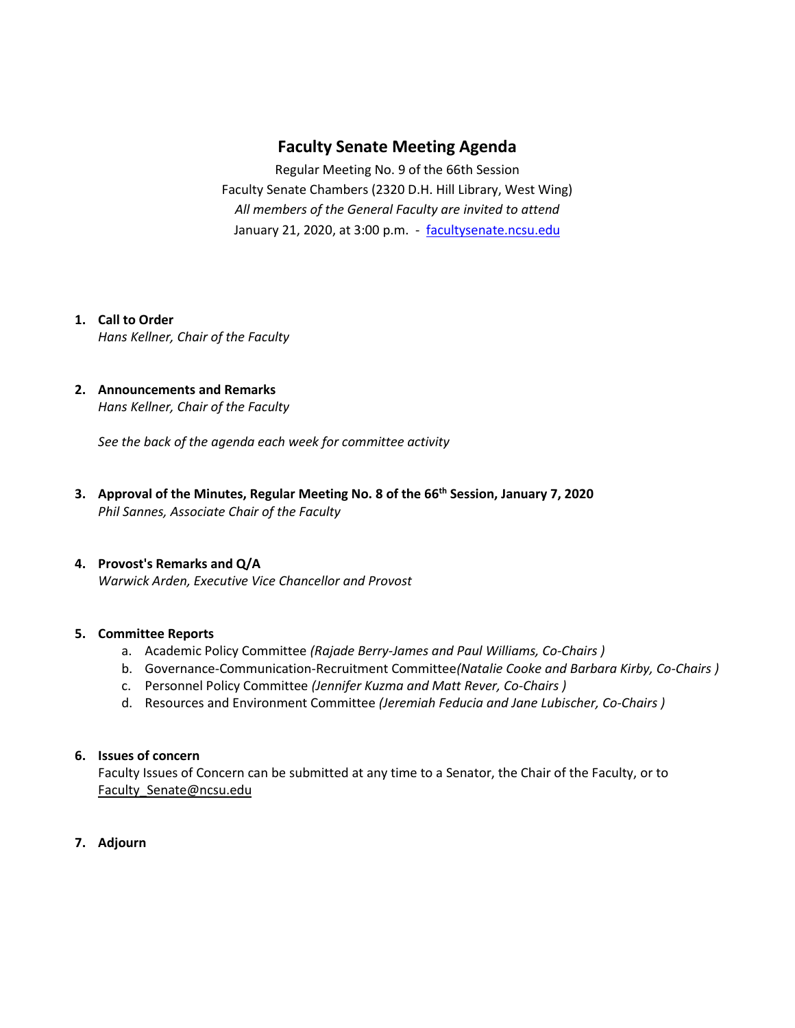# **Faculty Senate Meeting Agenda**

Regular Meeting No. 9 of the 66th Session Faculty Senate Chambers (2320 D.H. Hill Library, West Wing) *All members of the General Faculty are invited to attend* January 21, 2020, at 3:00 p.m. - [facultysenate.ncsu.edu](https://facultysenate.ncsu.edu/)

# **1. Call to Order**

*Hans Kellner, Chair of the Faculty*

### **2. Announcements and Remarks** *Hans Kellner, Chair of the Faculty*

*See the back of the agenda each week for committee activity* 

**3. Approval of the Minutes, Regular Meeting No. 8 of the 66th Session, January 7, 2020** *Phil Sannes, Associate Chair of the Faculty*

## **4. Provost's Remarks and Q/A**

*Warwick Arden, Executive Vice Chancellor and Provost* 

### **5. Committee Reports**

- a. Academic Policy Committee *(Rajade Berry-James and Paul Williams, Co-Chairs )*
- b. Governance-Communication-Recruitment Committee*(Natalie Cooke and Barbara Kirby, Co-Chairs )*
- c. Personnel Policy Committee *(Jennifer Kuzma and Matt Rever, Co-Chairs )*
- d. Resources and Environment Committee *(Jeremiah Feducia and Jane Lubischer, Co-Chairs )*

### **6. Issues of concern**

Faculty Issues of Concern can be submitted at any time to a Senator, the Chair of the Faculty, or to [Faculty\\_Senate@ncsu.edu](mailto:Faculty_Senate@ncsu.edu)

**7. Adjourn**